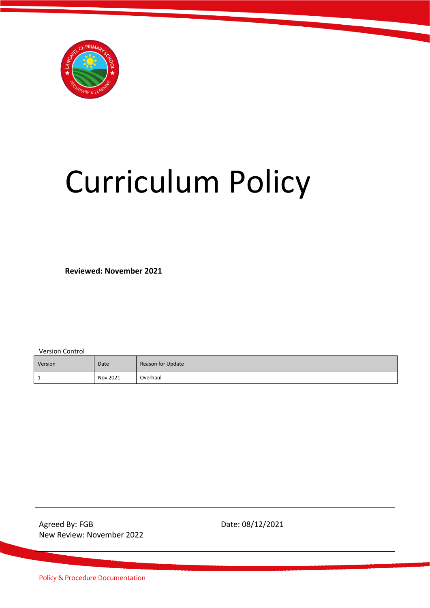

# Curriculum Policy

**Reviewed: November 2021**

Version Control

| Version | Date     | Reason for Update |
|---------|----------|-------------------|
|         | Nov 2021 | Overhaul          |

Agreed By: FGB Date: 08/12/2021 New Review: November 2022

Policy & Procedure Documentation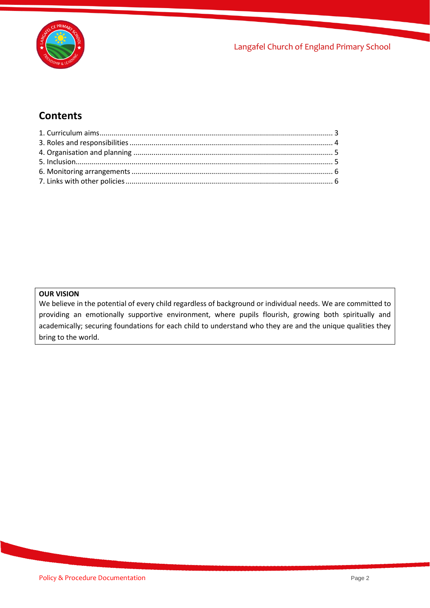

# **Contents**

#### **OUR VISION**

We believe in the potential of every child regardless of background or individual needs. We are committed to providing an emotionally supportive environment, where pupils flourish, growing both spiritually and academically; securing foundations for each child to understand who they are and the unique qualities they bring to the world.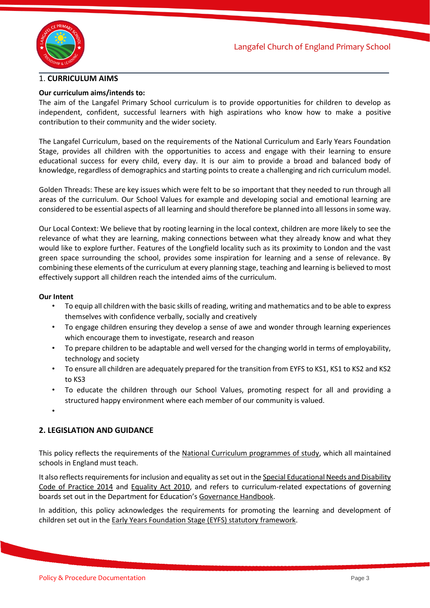

#### <span id="page-2-0"></span>1. **CURRICULUM AIMS**

#### **Our curriculum aims/intends to:**

The aim of the Langafel Primary School curriculum is to provide opportunities for children to develop as independent, confident, successful learners with high aspirations who know how to make a positive contribution to their community and the wider society.

The Langafel Curriculum, based on the requirements of the National Curriculum and Early Years Foundation Stage, provides all children with the opportunities to access and engage with their learning to ensure educational success for every child, every day. It is our aim to provide a broad and balanced body of knowledge, regardless of demographics and starting points to create a challenging and rich curriculum model.

Golden Threads: These are key issues which were felt to be so important that they needed to run through all areas of the curriculum. Our School Values for example and developing social and emotional learning are considered to be essential aspects of all learning and should therefore be planned into all lessons in some way.

Our Local Context: We believe that by rooting learning in the local context, children are more likely to see the relevance of what they are learning, making connections between what they already know and what they would like to explore further. Features of the Longfield locality such as its proximity to London and the vast green space surrounding the school, provides some inspiration for learning and a sense of relevance. By combining these elements of the curriculum at every planning stage, teaching and learning is believed to most effectively support all children reach the intended aims of the curriculum.

#### **Our Intent**

- To equip all children with the basic skills of reading, writing and mathematics and to be able to express themselves with confidence verbally, socially and creatively
- To engage children ensuring they develop a sense of awe and wonder through learning experiences which encourage them to investigate, research and reason
- To prepare children to be adaptable and well versed for the changing world in terms of employability, technology and society
- To ensure all children are adequately prepared for the transition from EYFS to KS1, KS1 to KS2 and KS2 to KS3
- To educate the children through our School Values, promoting respect for all and providing a structured happy environment where each member of our community is valued.
- •

#### **2. LEGISLATION AND GUIDANCE**

This policy reflects the requirements of the [National Curriculum programmes of study,](https://www.gov.uk/government/collections/national-curriculum) which all maintained schools in England must teach.

It also reflects requirements for inclusion and equality as set out in the Special Educational Needs and Disability [Code of Practice 2014](https://www.gov.uk/government/publications/send-code-of-practice-0-to-25) and [Equality Act 2010,](http://www.legislation.gov.uk/ukpga/2010/15/part/6/chapter/1) and refers to curriculum-related expectations of governing boards set out in the Department for Education's [Governance Handbook.](https://www.gov.uk/government/publications/governance-handbook)

In addition, this policy acknowledges the requirements for promoting the learning and development of children set out in th[e Early Years Foundation Stage \(EYFS\) statutory framework.](https://www.gov.uk/government/publications/early-years-foundation-stage-framework--2)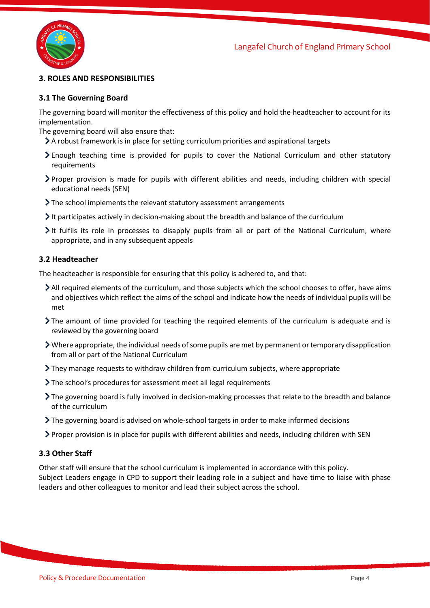

## <span id="page-3-0"></span>**3. ROLES AND RESPONSIBILITIES**

#### **3.1 The Governing Board**

The governing board will monitor the effectiveness of this policy and hold the headteacher to account for its implementation.

The governing board will also ensure that:

- A robust framework is in place for setting curriculum priorities and aspirational targets
- Enough teaching time is provided for pupils to cover the National Curriculum and other statutory requirements
- Proper provision is made for pupils with different abilities and needs, including children with special educational needs (SEN)
- The school implements the relevant statutory assessment arrangements
- It participates actively in decision-making about the breadth and balance of the curriculum
- It fulfils its role in processes to disapply pupils from all or part of the National Curriculum, where appropriate, and in any subsequent appeals

#### **3.2 Headteacher**

The headteacher is responsible for ensuring that this policy is adhered to, and that:

- All required elements of the curriculum, and those subjects which the school chooses to offer, have aims and objectives which reflect the aims of the school and indicate how the needs of individual pupils will be met
- The amount of time provided for teaching the required elements of the curriculum is adequate and is reviewed by the governing board
- Where appropriate, the individual needs of some pupils are met by permanent or temporary disapplication from all or part of the National Curriculum
- They manage requests to withdraw children from curriculum subjects, where appropriate
- > The school's procedures for assessment meet all legal requirements
- > The governing board is fully involved in decision-making processes that relate to the breadth and balance of the curriculum
- The governing board is advised on whole-school targets in order to make informed decisions
- Proper provision is in place for pupils with different abilities and needs, including children with SEN

#### **3.3 Other Staff**

<span id="page-3-1"></span>Other staff will ensure that the school curriculum is implemented in accordance with this policy. Subject Leaders engage in CPD to support their leading role in a subject and have time to liaise with phase leaders and other colleagues to monitor and lead their subject across the school.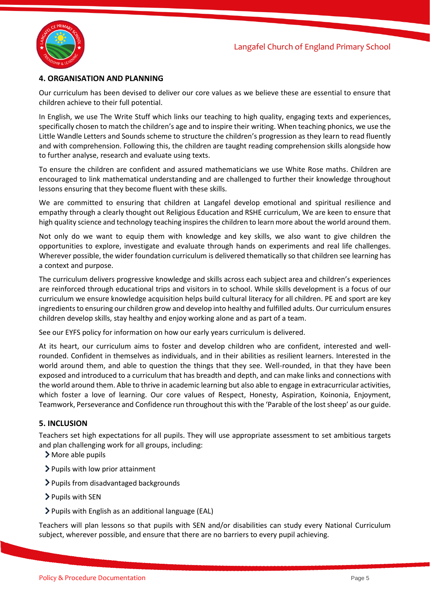

## **4. ORGANISATION AND PLANNING**

Our curriculum has been devised to deliver our core values as we believe these are essential to ensure that children achieve to their full potential.

In English, we use The Write Stuff which links our teaching to high quality, engaging texts and experiences, specifically chosen to match the children's age and to inspire their writing. When teaching phonics, we use the Little Wandle Letters and Sounds scheme to structure the children's progression as they learn to read fluently and with comprehension. Following this, the children are taught reading comprehension skills alongside how to further analyse, research and evaluate using texts.

To ensure the children are confident and assured mathematicians we use White Rose maths. Children are encouraged to link mathematical understanding and are challenged to further their knowledge throughout lessons ensuring that they become fluent with these skills.

We are committed to ensuring that children at Langafel develop emotional and spiritual resilience and empathy through a clearly thought out Religious Education and RSHE curriculum, We are keen to ensure that high quality science and technology teaching inspires the children to learn more about the world around them.

Not only do we want to equip them with knowledge and key skills, we also want to give children the opportunities to explore, investigate and evaluate through hands on experiments and real life challenges. Wherever possible, the wider foundation curriculum is delivered thematically so that children see learning has a context and purpose.

The curriculum delivers progressive knowledge and skills across each subject area and children's experiences are reinforced through educational trips and visitors in to school. While skills development is a focus of our curriculum we ensure knowledge acquisition helps build cultural literacy for all children. PE and sport are key ingredients to ensuring our children grow and develop into healthy and fulfilled adults. Our curriculum ensures children develop skills, stay healthy and enjoy working alone and as part of a team.

See our EYFS policy for information on how our early years curriculum is delivered.

At its heart, our curriculum aims to foster and develop children who are confident, interested and wellrounded. Confident in themselves as individuals, and in their abilities as resilient learners. Interested in the world around them, and able to question the things that they see. Well-rounded, in that they have been exposed and introduced to a curriculum that has breadth and depth, and can make links and connections with the world around them. Able to thrive in academic learning but also able to engage in extracurricular activities, which foster a love of learning. Our core values of Respect, Honesty, Aspiration, Koinonia, Enjoyment, Teamwork, Perseverance and Confidence run throughout this with the 'Parable of the lost sheep' as our guide.

#### <span id="page-4-0"></span>**5. INCLUSION**

Teachers set high expectations for all pupils. They will use appropriate assessment to set ambitious targets and plan challenging work for all groups, including:

- More able pupils
- Pupils with low prior attainment
- > Pupils from disadvantaged backgrounds
- > Pupils with SEN
- Pupils with English as an additional language (EAL)

Teachers will plan lessons so that pupils with SEN and/or disabilities can study every National Curriculum subject, wherever possible, and ensure that there are no barriers to every pupil achieving.